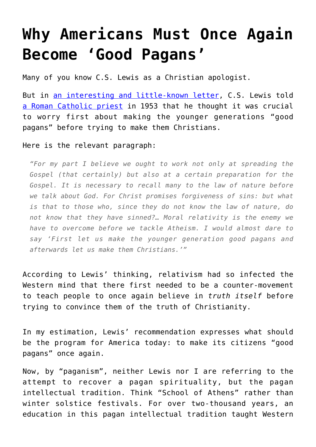## **[Why Americans Must Once Again](https://intellectualtakeout.org/2017/06/why-americans-must-once-again-become-good-pagans/) [Become 'Good Pagans'](https://intellectualtakeout.org/2017/06/why-americans-must-once-again-become-good-pagans/)**

Many of you know C.S. Lewis as a Christian apologist.

But in [an interesting and little-known letter,](http://micahcobb.com/blog/first-make-them-good-pagans-c-s-lewis-on-reaching-europe/) C.S. Lewis told [a Roman Catholic priest](https://en.wikipedia.org/wiki/Giovanni_Calabria) in 1953 that he thought it was crucial to worry first about making the younger generations "good pagans" before trying to make them Christians.

Here is the relevant paragraph:

*"For my part I believe we ought to work not only at spreading the Gospel (that certainly) but also at a certain preparation for the Gospel. It is necessary to recall many to the law of nature before we talk about God. For Christ promises forgiveness of sins: but what is that to those who, since they do not know the law of nature, do not know that they have sinned?… Moral relativity is the enemy we have to overcome before we tackle Atheism. I would almost dare to say 'First let us make the younger generation good pagans and afterwards let us make them Christians.'"*

According to Lewis' thinking, relativism had so infected the Western mind that there first needed to be a counter-movement to teach people to once again believe in *truth itself* before trying to convince them of the truth of Christianity.

In my estimation, Lewis' recommendation expresses what should be the program for America today: to make its citizens "good pagans" once again.

Now, by "paganism", neither Lewis nor I are referring to the attempt to recover a pagan spirituality, but the pagan intellectual tradition. Think "School of Athens" rather than winter solstice festivals. For over two-thousand years, an education in this pagan intellectual tradition taught Western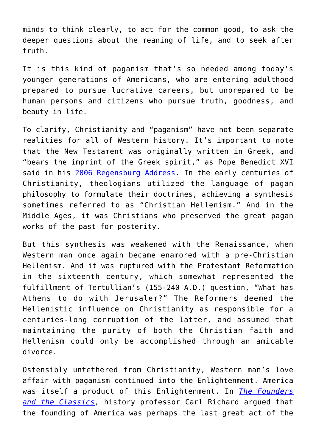minds to think clearly, to act for the common good, to ask the deeper questions about the meaning of life, and to seek after truth.

It is this kind of paganism that's so needed among today's younger generations of Americans, who are entering adulthood prepared to pursue lucrative careers, but unprepared to be human persons and citizens who pursue truth, goodness, and beauty in life.

To clarify, Christianity and "paganism" have not been separate realities for all of Western history. It's important to note that the New Testament was originally written in Greek, and "bears the imprint of the Greek spirit," as Pope Benedict XVI said in his [2006 Regensburg Address](http://w2.vatican.va/content/benedict-xvi/en/speeches/2006/september/documents/hf_ben-xvi_spe_20060912_university-regensburg.html). In the early centuries of Christianity, theologians utilized the language of pagan philosophy to formulate their doctrines, achieving a synthesis sometimes referred to as "Christian Hellenism." And in the Middle Ages, it was Christians who preserved the great pagan works of the past for posterity.

But this synthesis was weakened with the Renaissance, when Western man once again became enamored with a pre-Christian Hellenism. And it was ruptured with the Protestant Reformation in the sixteenth century, which somewhat represented the fulfillment of Tertullian's (155-240 A.D.) question, "What has Athens to do with Jerusalem?" The Reformers deemed the Hellenistic influence on Christianity as responsible for a centuries-long corruption of the latter, and assumed that maintaining the purity of both the Christian faith and Hellenism could only be accomplished through an amicable divorce.

Ostensibly untethered from Christianity, Western man's love affair with paganism continued into the Enlightenment. America was itself a product of this Enlightenment. In *[The Founders](http://amzn.to/2stDAOk) [and the Classics](http://amzn.to/2stDAOk)*, history professor Carl Richard argued that the founding of America was perhaps the last great act of the